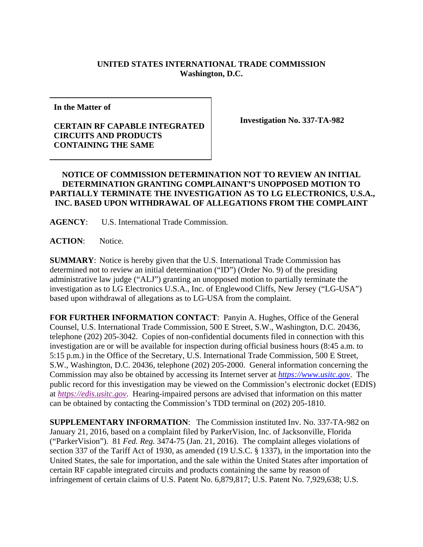## **UNITED STATES INTERNATIONAL TRADE COMMISSION Washington, D.C.**

**In the Matter of** 

## **CERTAIN RF CAPABLE INTEGRATED CIRCUITS AND PRODUCTS CONTAINING THE SAME**

**Investigation No. 337-TA-982** 

## **NOTICE OF COMMISSION DETERMINATION NOT TO REVIEW AN INITIAL DETERMINATION GRANTING COMPLAINANT'S UNOPPOSED MOTION TO PARTIALLY TERMINATE THE INVESTIGATION AS TO LG ELECTRONICS, U.S.A., INC. BASED UPON WITHDRAWAL OF ALLEGATIONS FROM THE COMPLAINT**

**AGENCY**: U.S. International Trade Commission.

**ACTION**: Notice.

**SUMMARY**: Notice is hereby given that the U.S. International Trade Commission has determined not to review an initial determination ("ID") (Order No. 9) of the presiding administrative law judge ("ALJ") granting an unopposed motion to partially terminate the investigation as to LG Electronics U.S.A., Inc. of Englewood Cliffs, New Jersey ("LG-USA") based upon withdrawal of allegations as to LG-USA from the complaint.

**FOR FURTHER INFORMATION CONTACT**: Panyin A. Hughes, Office of the General Counsel, U.S. International Trade Commission, 500 E Street, S.W., Washington, D.C. 20436, telephone (202) 205-3042. Copies of non-confidential documents filed in connection with this investigation are or will be available for inspection during official business hours (8:45 a.m. to 5:15 p.m.) in the Office of the Secretary, U.S. International Trade Commission, 500 E Street, S.W., Washington, D.C. 20436, telephone (202) 205-2000. General information concerning the Commission may also be obtained by accessing its Internet server at *https://www.usitc.gov*. The public record for this investigation may be viewed on the Commission's electronic docket (EDIS) at *https://edis.usitc.gov*. Hearing-impaired persons are advised that information on this matter can be obtained by contacting the Commission's TDD terminal on (202) 205-1810.

**SUPPLEMENTARY INFORMATION**: The Commission instituted Inv. No. 337-TA-982 on January 21, 2016, based on a complaint filed by ParkerVision, Inc. of Jacksonville, Florida ("ParkerVision"). 81 *Fed. Reg.* 3474-75 (Jan. 21, 2016). The complaint alleges violations of section 337 of the Tariff Act of 1930, as amended (19 U.S.C. § 1337), in the importation into the United States, the sale for importation, and the sale within the United States after importation of certain RF capable integrated circuits and products containing the same by reason of infringement of certain claims of U.S. Patent No. 6,879,817; U.S. Patent No. 7,929,638; U.S.